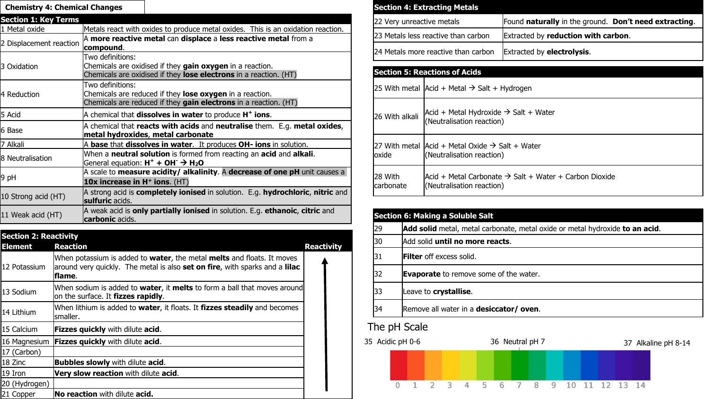| <b>Chemistry 4: Chemical Changes</b> |                                                                                                                                                           |  |
|--------------------------------------|-----------------------------------------------------------------------------------------------------------------------------------------------------------|--|
| <b>Section 1: Key Terms</b>          |                                                                                                                                                           |  |
| 1 Metal oxide                        | Metals react with oxides to produce metal oxides. This is an oxidation reaction.                                                                          |  |
| 2 Displacement reaction              | A more reactive metal can displace a less reactive metal from a<br>compound.                                                                              |  |
| 3 Oxidation                          | Two definitions:<br>Chemicals are oxidised if they gain oxygen in a reaction.<br>Chemicals are oxidised if they <b>lose electrons</b> in a reaction. (HT) |  |
| 4 Reduction                          | Two definitions:<br>Chemicals are reduced if they lose oxygen in a reaction.<br>Chemicals are reduced if they gain electrons in a reaction. (HT)          |  |
| 5 Acid                               | $A$ chemical that <b>dissolves in water</b> to produce $H^+$ ions.                                                                                        |  |
| 6 Base                               | A chemical that reacts with acids and neutralise them. E.g. metal oxides,<br>metal hydroxides, metal carbonate                                            |  |
| 7 Alkali                             | A base that dissolves in water. It produces OH- ions in solution.                                                                                         |  |
| 8 Neutralisation                     | When a neutral solution is formed from reacting an acid and alkali.<br>General equation: $H^+ + OH^- \rightarrow H_2O$                                    |  |
| 9 pH                                 | A scale to measure acidity/ alkalinity. A decrease of one pH unit causes a<br>10x increase in $H^+$ ions. $(HT)$                                          |  |
| 10 Strong acid (HT)                  | A strong acid is <b>completely ionised</b> in solution. E.g. hydrochloric, nitric and<br>sulfuric acids.                                                  |  |
| 11 Weak acid (HT)                    | A weak acid is <b>only partially ionised</b> in solution. E.g. ethanoic, citric and<br><b>carbonic</b> acids.                                             |  |

| <b>Section 2: Reactivity</b> |                                                                                                                                                                                 |                   |  |
|------------------------------|---------------------------------------------------------------------------------------------------------------------------------------------------------------------------------|-------------------|--|
| <b>Element</b>               | <b>Reaction</b>                                                                                                                                                                 | <b>Reactivity</b> |  |
| 12 Potassium                 | When potassium is added to water, the metal melts and floats. It moves<br>around very quickly. The metal is also <b>set on fire</b> , with sparks and a <b>lilac</b><br>lflame. |                   |  |
| 13 Sodium                    | When sodium is added to water, it melts to form a ball that moves around<br>on the surface. It fizzes rapidly.                                                                  |                   |  |
| 14 Lithium                   | When lithium is added to water, it floats. It fizzes steadily and becomes<br>smaller.                                                                                           |                   |  |
| 15 Calcium                   | <b>Fizzes quickly</b> with dilute acid.                                                                                                                                         |                   |  |
| 16 Magnesium                 | <b>Fizzes quickly</b> with dilute acid.                                                                                                                                         |                   |  |
| 17 (Carbon)                  |                                                                                                                                                                                 |                   |  |
| 18 Zinc                      | <b>Bubbles slowly</b> with dilute acid.                                                                                                                                         |                   |  |
| 19 Iron                      | Very slow reaction with dilute acid.                                                                                                                                            |                   |  |
| 20 (Hydrogen)                |                                                                                                                                                                                 |                   |  |
| 21 Copper                    | <b>No reaction</b> with dilute acid.                                                                                                                                            |                   |  |

| <b>Section 4: Extracting Metals</b> |                                                                                 |                                                       |  |  |
|-------------------------------------|---------------------------------------------------------------------------------|-------------------------------------------------------|--|--|
| 22 Very unreactive metals           |                                                                                 | Found naturally in the ground. Don't need extracting. |  |  |
| 23 Metals less reactive than carbon |                                                                                 | Extracted by <b>reduction with carbon</b> .           |  |  |
| 24 Metals more reactive than carbon |                                                                                 | <b>Extracted by electrolysis.</b>                     |  |  |
|                                     | <b>Section 5: Reactions of Acids</b>                                            |                                                       |  |  |
|                                     | $ 25$ With metal $ Acid + Metal \rightarrow Salt + Hydrogen$                    |                                                       |  |  |
| 26 With alkali                      | $Accid + Metal Hydroxide \rightarrow Salt + Water$<br>(Neutralisation reaction) |                                                       |  |  |

| 28 With<br>carbonate | $Acid$ + Metal Carbonate $\rightarrow$ Salt + Water + Carbon Dioxide<br>(Neutralisation reaction) |
|----------------------|---------------------------------------------------------------------------------------------------|
|                      |                                                                                                   |
|                      | <b>Section 6: Making a Soluble Salt</b>                                                           |
| 29                   | Add solid metal, metal carbonate, metal oxide or metal hydroxide to an acid.                      |

- 30 Add solid **until no more reacts**.
- 31 **Filter** off excess solid.
- **Evaporate** to remove some of the water.

27 With metal  $|$ Acid + Metal Oxide  $\rightarrow$  Salt + Water

(Neutralisation reaction)

- 33 Leave to **crystallise**.
- 34 Remove all water in a **desiccator/ oven**.

## The pH Scale

oxide